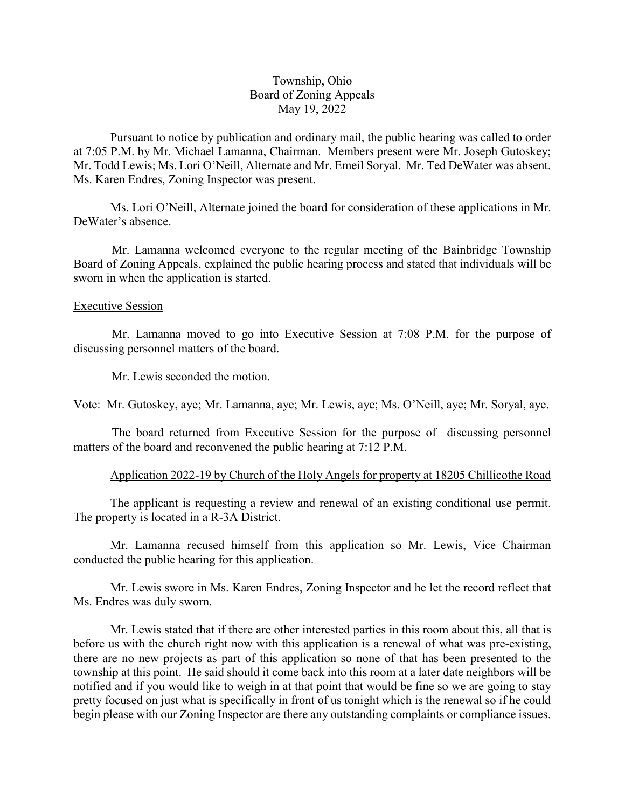### Township, Ohio Board of Zoning Appeals May 19, 2022

Pursuant to notice by publication and ordinary mail, the public hearing was called to order at 7:05 P.M. by Mr. Michael Lamanna, Chairman. Members present were Mr. Joseph Gutoskey; Mr. Todd Lewis; Ms. Lori O'Neill, Alternate and Mr. Emeil Soryal. Mr. Ted DeWater was absent. Ms. Karen Endres, Zoning Inspector was present.

Ms. Lori O'Neill, Alternate joined the board for consideration of these applications in Mr. DeWater's absence.

Mr. Lamanna welcomed everyone to the regular meeting of the Bainbridge Township Board of Zoning Appeals, explained the public hearing process and stated that individuals will be sworn in when the application is started.

#### Executive Session

Mr. Lamanna moved to go into Executive Session at 7:08 P.M. for the purpose of discussing personnel matters of the board.

Mr. Lewis seconded the motion.

Vote: Mr. Gutoskey, aye; Mr. Lamanna, aye; Mr. Lewis, aye; Ms. O'Neill, aye; Mr. Soryal, aye.

The board returned from Executive Session for the purpose of discussing personnel matters of the board and reconvened the public hearing at 7:12 P.M.

### Application 2022-19 by Church of the Holy Angels for property at 18205 Chillicothe Road

The applicant is requesting a review and renewal of an existing conditional use permit. The property is located in a R-3A District.

Mr. Lamanna recused himself from this application so Mr. Lewis, Vice Chairman conducted the public hearing for this application.

Mr. Lewis swore in Ms. Karen Endres, Zoning Inspector and he let the record reflect that Ms. Endres was duly sworn.

Mr. Lewis stated that if there are other interested parties in this room about this, all that is before us with the church right now with this application is a renewal of what was pre-existing, there are no new projects as part of this application so none of that has been presented to the township at this point. He said should it come back into this room at a later date neighbors will be notified and if you would like to weigh in at that point that would be fine so we are going to stay pretty focused on just what is specifically in front of us tonight which is the renewal so if he could begin please with our Zoning Inspector are there any outstanding complaints or compliance issues.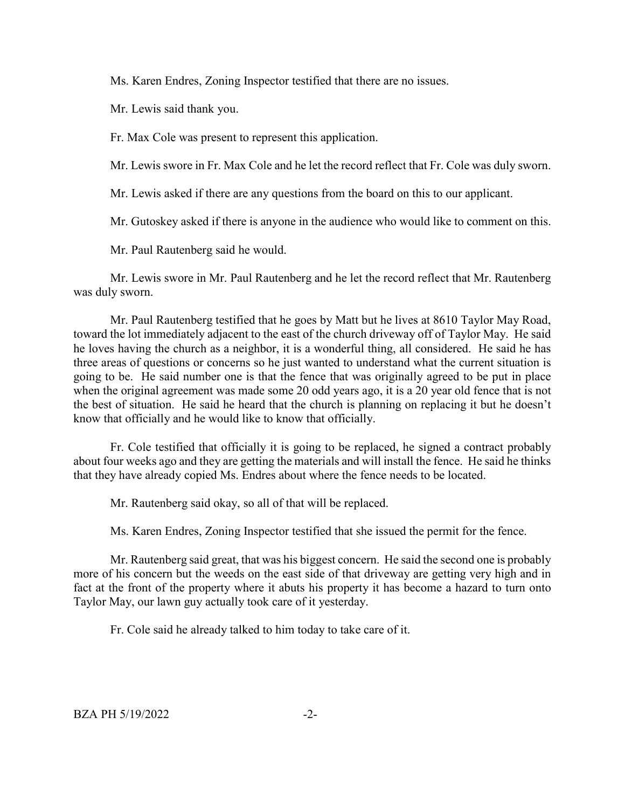Ms. Karen Endres, Zoning Inspector testified that there are no issues.

Mr. Lewis said thank you.

Fr. Max Cole was present to represent this application.

Mr. Lewis swore in Fr. Max Cole and he let the record reflect that Fr. Cole was duly sworn.

Mr. Lewis asked if there are any questions from the board on this to our applicant.

Mr. Gutoskey asked if there is anyone in the audience who would like to comment on this.

Mr. Paul Rautenberg said he would.

Mr. Lewis swore in Mr. Paul Rautenberg and he let the record reflect that Mr. Rautenberg was duly sworn.

Mr. Paul Rautenberg testified that he goes by Matt but he lives at 8610 Taylor May Road, toward the lot immediately adjacent to the east of the church driveway off of Taylor May. He said he loves having the church as a neighbor, it is a wonderful thing, all considered. He said he has three areas of questions or concerns so he just wanted to understand what the current situation is going to be. He said number one is that the fence that was originally agreed to be put in place when the original agreement was made some 20 odd years ago, it is a 20 year old fence that is not the best of situation. He said he heard that the church is planning on replacing it but he doesn't know that officially and he would like to know that officially.

Fr. Cole testified that officially it is going to be replaced, he signed a contract probably about four weeks ago and they are getting the materials and will install the fence. He said he thinks that they have already copied Ms. Endres about where the fence needs to be located.

Mr. Rautenberg said okay, so all of that will be replaced.

Ms. Karen Endres, Zoning Inspector testified that she issued the permit for the fence.

Mr. Rautenberg said great, that was his biggest concern. He said the second one is probably more of his concern but the weeds on the east side of that driveway are getting very high and in fact at the front of the property where it abuts his property it has become a hazard to turn onto Taylor May, our lawn guy actually took care of it yesterday.

Fr. Cole said he already talked to him today to take care of it.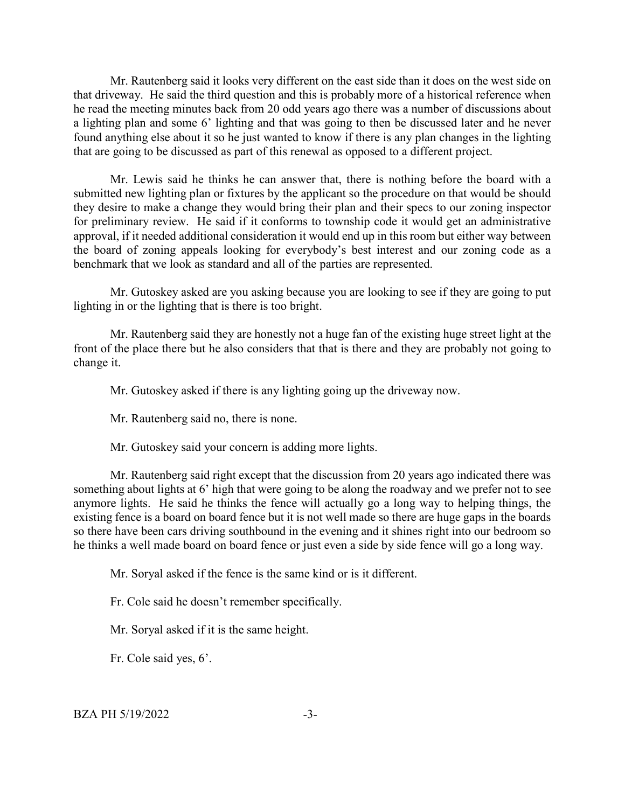Mr. Rautenberg said it looks very different on the east side than it does on the west side on that driveway. He said the third question and this is probably more of a historical reference when he read the meeting minutes back from 20 odd years ago there was a number of discussions about a lighting plan and some 6' lighting and that was going to then be discussed later and he never found anything else about it so he just wanted to know if there is any plan changes in the lighting that are going to be discussed as part of this renewal as opposed to a different project.

Mr. Lewis said he thinks he can answer that, there is nothing before the board with a submitted new lighting plan or fixtures by the applicant so the procedure on that would be should they desire to make a change they would bring their plan and their specs to our zoning inspector for preliminary review. He said if it conforms to township code it would get an administrative approval, if it needed additional consideration it would end up in this room but either way between the board of zoning appeals looking for everybody's best interest and our zoning code as a benchmark that we look as standard and all of the parties are represented.

Mr. Gutoskey asked are you asking because you are looking to see if they are going to put lighting in or the lighting that is there is too bright.

Mr. Rautenberg said they are honestly not a huge fan of the existing huge street light at the front of the place there but he also considers that that is there and they are probably not going to change it.

Mr. Gutoskey asked if there is any lighting going up the driveway now.

Mr. Rautenberg said no, there is none.

Mr. Gutoskey said your concern is adding more lights.

Mr. Rautenberg said right except that the discussion from 20 years ago indicated there was something about lights at 6' high that were going to be along the roadway and we prefer not to see anymore lights. He said he thinks the fence will actually go a long way to helping things, the existing fence is a board on board fence but it is not well made so there are huge gaps in the boards so there have been cars driving southbound in the evening and it shines right into our bedroom so he thinks a well made board on board fence or just even a side by side fence will go a long way.

Mr. Soryal asked if the fence is the same kind or is it different.

Fr. Cole said he doesn't remember specifically.

Mr. Soryal asked if it is the same height.

Fr. Cole said yes, 6'.

#### $BZA PH 5/19/2022$   $-3-$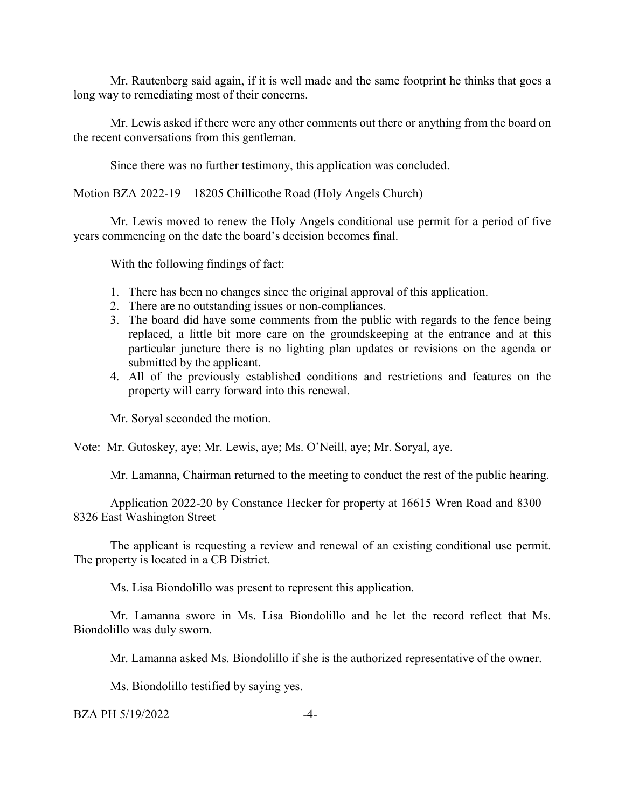Mr. Rautenberg said again, if it is well made and the same footprint he thinks that goes a long way to remediating most of their concerns.

Mr. Lewis asked if there were any other comments out there or anything from the board on the recent conversations from this gentleman.

Since there was no further testimony, this application was concluded.

### Motion BZA 2022-19 – 18205 Chillicothe Road (Holy Angels Church)

Mr. Lewis moved to renew the Holy Angels conditional use permit for a period of five years commencing on the date the board's decision becomes final.

With the following findings of fact:

- 1. There has been no changes since the original approval of this application.
- 2. There are no outstanding issues or non-compliances.
- 3. The board did have some comments from the public with regards to the fence being replaced, a little bit more care on the groundskeeping at the entrance and at this particular juncture there is no lighting plan updates or revisions on the agenda or submitted by the applicant.
- 4. All of the previously established conditions and restrictions and features on the property will carry forward into this renewal.

Mr. Soryal seconded the motion.

Vote: Mr. Gutoskey, aye; Mr. Lewis, aye; Ms. O'Neill, aye; Mr. Soryal, aye.

Mr. Lamanna, Chairman returned to the meeting to conduct the rest of the public hearing.

Application 2022-20 by Constance Hecker for property at 16615 Wren Road and 8300 – 8326 East Washington Street

The applicant is requesting a review and renewal of an existing conditional use permit. The property is located in a CB District.

Ms. Lisa Biondolillo was present to represent this application.

Mr. Lamanna swore in Ms. Lisa Biondolillo and he let the record reflect that Ms. Biondolillo was duly sworn.

Mr. Lamanna asked Ms. Biondolillo if she is the authorized representative of the owner.

Ms. Biondolillo testified by saying yes.

BZA PH 5/19/2022 -4-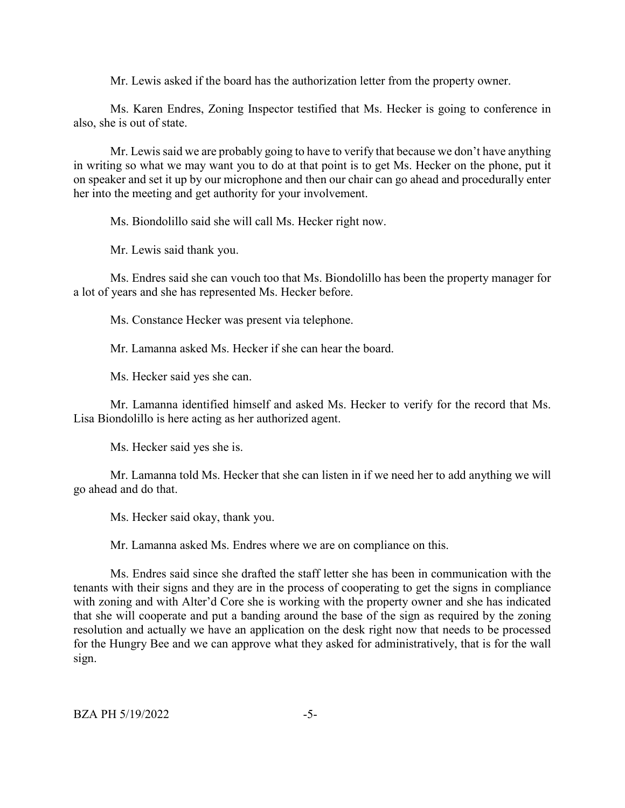Mr. Lewis asked if the board has the authorization letter from the property owner.

Ms. Karen Endres, Zoning Inspector testified that Ms. Hecker is going to conference in also, she is out of state.

Mr. Lewis said we are probably going to have to verify that because we don't have anything in writing so what we may want you to do at that point is to get Ms. Hecker on the phone, put it on speaker and set it up by our microphone and then our chair can go ahead and procedurally enter her into the meeting and get authority for your involvement.

Ms. Biondolillo said she will call Ms. Hecker right now.

Mr. Lewis said thank you.

Ms. Endres said she can vouch too that Ms. Biondolillo has been the property manager for a lot of years and she has represented Ms. Hecker before.

Ms. Constance Hecker was present via telephone.

Mr. Lamanna asked Ms. Hecker if she can hear the board.

Ms. Hecker said yes she can.

Mr. Lamanna identified himself and asked Ms. Hecker to verify for the record that Ms. Lisa Biondolillo is here acting as her authorized agent.

Ms. Hecker said yes she is.

Mr. Lamanna told Ms. Hecker that she can listen in if we need her to add anything we will go ahead and do that.

Ms. Hecker said okay, thank you.

Mr. Lamanna asked Ms. Endres where we are on compliance on this.

Ms. Endres said since she drafted the staff letter she has been in communication with the tenants with their signs and they are in the process of cooperating to get the signs in compliance with zoning and with Alter'd Core she is working with the property owner and she has indicated that she will cooperate and put a banding around the base of the sign as required by the zoning resolution and actually we have an application on the desk right now that needs to be processed for the Hungry Bee and we can approve what they asked for administratively, that is for the wall sign.

 $BZA PH 5/19/2022$   $-5-$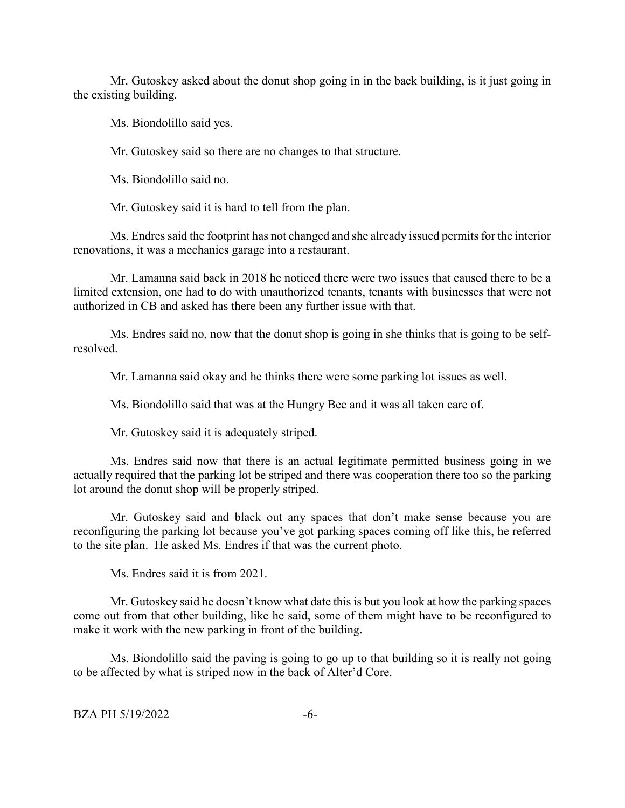Mr. Gutoskey asked about the donut shop going in in the back building, is it just going in the existing building.

Ms. Biondolillo said yes.

Mr. Gutoskey said so there are no changes to that structure.

Ms. Biondolillo said no.

Mr. Gutoskey said it is hard to tell from the plan.

Ms. Endres said the footprint has not changed and she already issued permits for the interior renovations, it was a mechanics garage into a restaurant.

Mr. Lamanna said back in 2018 he noticed there were two issues that caused there to be a limited extension, one had to do with unauthorized tenants, tenants with businesses that were not authorized in CB and asked has there been any further issue with that.

Ms. Endres said no, now that the donut shop is going in she thinks that is going to be selfresolved.

Mr. Lamanna said okay and he thinks there were some parking lot issues as well.

Ms. Biondolillo said that was at the Hungry Bee and it was all taken care of.

Mr. Gutoskey said it is adequately striped.

Ms. Endres said now that there is an actual legitimate permitted business going in we actually required that the parking lot be striped and there was cooperation there too so the parking lot around the donut shop will be properly striped.

Mr. Gutoskey said and black out any spaces that don't make sense because you are reconfiguring the parking lot because you've got parking spaces coming off like this, he referred to the site plan. He asked Ms. Endres if that was the current photo.

Ms. Endres said it is from 2021.

Mr. Gutoskey said he doesn't know what date this is but you look at how the parking spaces come out from that other building, like he said, some of them might have to be reconfigured to make it work with the new parking in front of the building.

Ms. Biondolillo said the paving is going to go up to that building so it is really not going to be affected by what is striped now in the back of Alter'd Core.

BZA PH 5/19/2022 -6-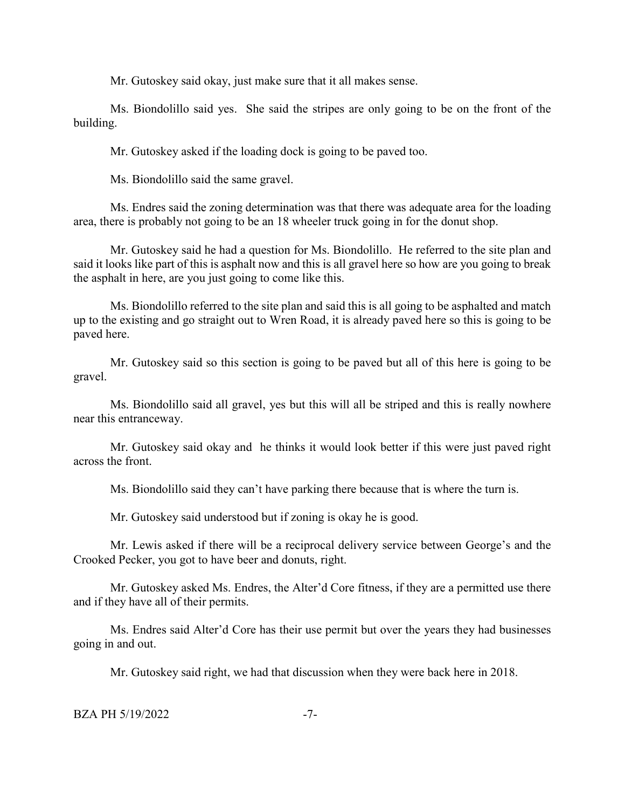Mr. Gutoskey said okay, just make sure that it all makes sense.

Ms. Biondolillo said yes. She said the stripes are only going to be on the front of the building.

Mr. Gutoskey asked if the loading dock is going to be paved too.

Ms. Biondolillo said the same gravel.

Ms. Endres said the zoning determination was that there was adequate area for the loading area, there is probably not going to be an 18 wheeler truck going in for the donut shop.

Mr. Gutoskey said he had a question for Ms. Biondolillo. He referred to the site plan and said it looks like part of this is asphalt now and this is all gravel here so how are you going to break the asphalt in here, are you just going to come like this.

Ms. Biondolillo referred to the site plan and said this is all going to be asphalted and match up to the existing and go straight out to Wren Road, it is already paved here so this is going to be paved here.

Mr. Gutoskey said so this section is going to be paved but all of this here is going to be gravel.

Ms. Biondolillo said all gravel, yes but this will all be striped and this is really nowhere near this entranceway.

Mr. Gutoskey said okay and he thinks it would look better if this were just paved right across the front.

Ms. Biondolillo said they can't have parking there because that is where the turn is.

Mr. Gutoskey said understood but if zoning is okay he is good.

Mr. Lewis asked if there will be a reciprocal delivery service between George's and the Crooked Pecker, you got to have beer and donuts, right.

Mr. Gutoskey asked Ms. Endres, the Alter'd Core fitness, if they are a permitted use there and if they have all of their permits.

Ms. Endres said Alter'd Core has their use permit but over the years they had businesses going in and out.

Mr. Gutoskey said right, we had that discussion when they were back here in 2018.

| BZA PH 5/19/2022 |  |
|------------------|--|
|                  |  |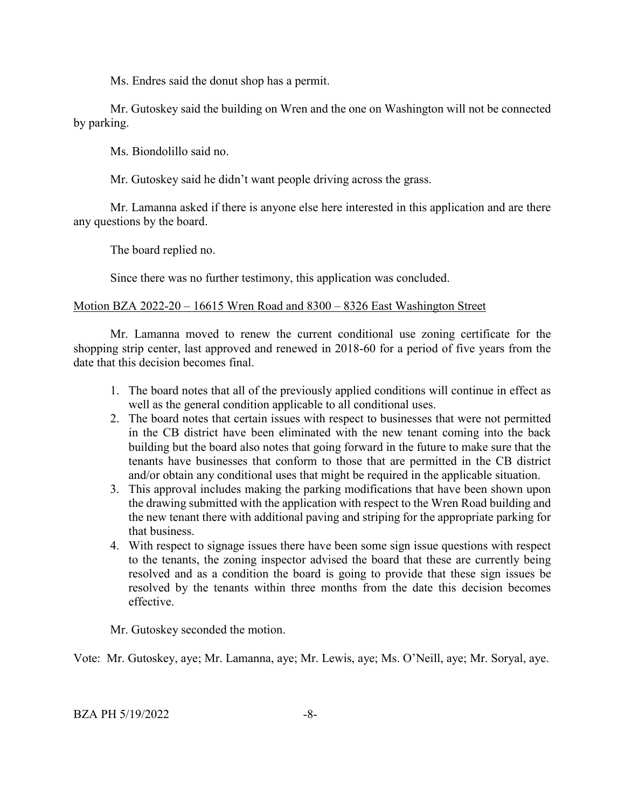Ms. Endres said the donut shop has a permit.

Mr. Gutoskey said the building on Wren and the one on Washington will not be connected by parking.

Ms. Biondolillo said no.

Mr. Gutoskey said he didn't want people driving across the grass.

Mr. Lamanna asked if there is anyone else here interested in this application and are there any questions by the board.

The board replied no.

Since there was no further testimony, this application was concluded.

### Motion BZA 2022-20 – 16615 Wren Road and 8300 – 8326 East Washington Street

Mr. Lamanna moved to renew the current conditional use zoning certificate for the shopping strip center, last approved and renewed in 2018-60 for a period of five years from the date that this decision becomes final.

- 1. The board notes that all of the previously applied conditions will continue in effect as well as the general condition applicable to all conditional uses.
- 2. The board notes that certain issues with respect to businesses that were not permitted in the CB district have been eliminated with the new tenant coming into the back building but the board also notes that going forward in the future to make sure that the tenants have businesses that conform to those that are permitted in the CB district and/or obtain any conditional uses that might be required in the applicable situation.
- 3. This approval includes making the parking modifications that have been shown upon the drawing submitted with the application with respect to the Wren Road building and the new tenant there with additional paving and striping for the appropriate parking for that business.
- 4. With respect to signage issues there have been some sign issue questions with respect to the tenants, the zoning inspector advised the board that these are currently being resolved and as a condition the board is going to provide that these sign issues be resolved by the tenants within three months from the date this decision becomes effective.

Mr. Gutoskey seconded the motion.

Vote: Mr. Gutoskey, aye; Mr. Lamanna, aye; Mr. Lewis, aye; Ms. O'Neill, aye; Mr. Soryal, aye.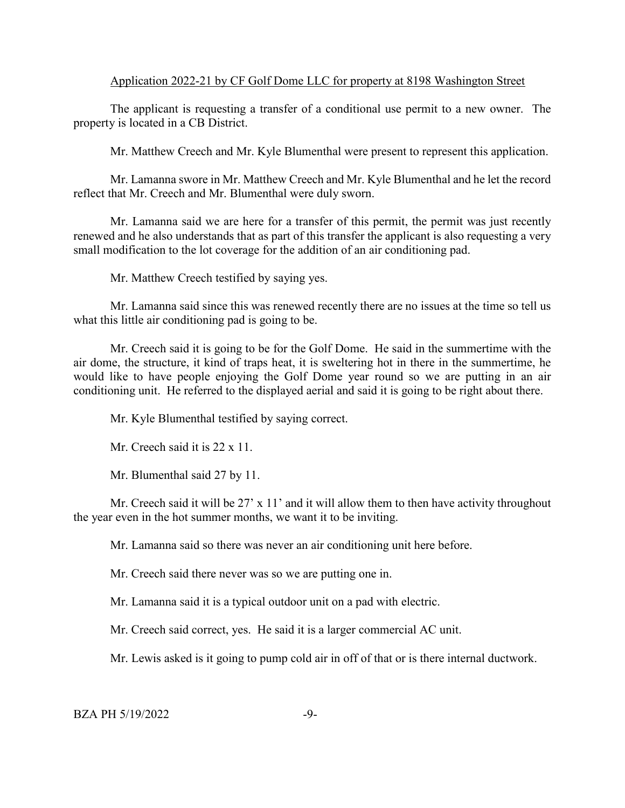#### Application 2022-21 by CF Golf Dome LLC for property at 8198 Washington Street

The applicant is requesting a transfer of a conditional use permit to a new owner. The property is located in a CB District.

Mr. Matthew Creech and Mr. Kyle Blumenthal were present to represent this application.

Mr. Lamanna swore in Mr. Matthew Creech and Mr. Kyle Blumenthal and he let the record reflect that Mr. Creech and Mr. Blumenthal were duly sworn.

Mr. Lamanna said we are here for a transfer of this permit, the permit was just recently renewed and he also understands that as part of this transfer the applicant is also requesting a very small modification to the lot coverage for the addition of an air conditioning pad.

Mr. Matthew Creech testified by saying yes.

Mr. Lamanna said since this was renewed recently there are no issues at the time so tell us what this little air conditioning pad is going to be.

Mr. Creech said it is going to be for the Golf Dome. He said in the summertime with the air dome, the structure, it kind of traps heat, it is sweltering hot in there in the summertime, he would like to have people enjoying the Golf Dome year round so we are putting in an air conditioning unit. He referred to the displayed aerial and said it is going to be right about there.

Mr. Kyle Blumenthal testified by saying correct.

Mr. Creech said it is 22 x 11.

Mr. Blumenthal said 27 by 11.

Mr. Creech said it will be  $27' \times 11'$  and it will allow them to then have activity throughout the year even in the hot summer months, we want it to be inviting.

Mr. Lamanna said so there was never an air conditioning unit here before.

Mr. Creech said there never was so we are putting one in.

Mr. Lamanna said it is a typical outdoor unit on a pad with electric.

Mr. Creech said correct, yes. He said it is a larger commercial AC unit.

Mr. Lewis asked is it going to pump cold air in off of that or is there internal ductwork.

 $BZA PH 5/19/2022$   $-9-$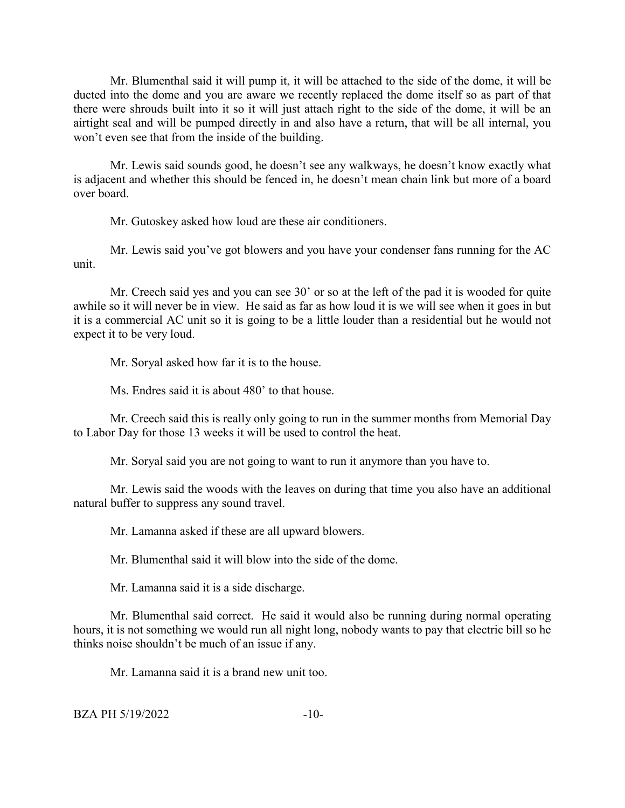Mr. Blumenthal said it will pump it, it will be attached to the side of the dome, it will be ducted into the dome and you are aware we recently replaced the dome itself so as part of that there were shrouds built into it so it will just attach right to the side of the dome, it will be an airtight seal and will be pumped directly in and also have a return, that will be all internal, you won't even see that from the inside of the building.

Mr. Lewis said sounds good, he doesn't see any walkways, he doesn't know exactly what is adjacent and whether this should be fenced in, he doesn't mean chain link but more of a board over board.

Mr. Gutoskey asked how loud are these air conditioners.

Mr. Lewis said you've got blowers and you have your condenser fans running for the AC unit.

Mr. Creech said yes and you can see 30' or so at the left of the pad it is wooded for quite awhile so it will never be in view. He said as far as how loud it is we will see when it goes in but it is a commercial AC unit so it is going to be a little louder than a residential but he would not expect it to be very loud.

Mr. Soryal asked how far it is to the house.

Ms. Endres said it is about 480' to that house.

Mr. Creech said this is really only going to run in the summer months from Memorial Day to Labor Day for those 13 weeks it will be used to control the heat.

Mr. Soryal said you are not going to want to run it anymore than you have to.

Mr. Lewis said the woods with the leaves on during that time you also have an additional natural buffer to suppress any sound travel.

Mr. Lamanna asked if these are all upward blowers.

Mr. Blumenthal said it will blow into the side of the dome.

Mr. Lamanna said it is a side discharge.

Mr. Blumenthal said correct. He said it would also be running during normal operating hours, it is not something we would run all night long, nobody wants to pay that electric bill so he thinks noise shouldn't be much of an issue if any.

Mr. Lamanna said it is a brand new unit too.

 $BZA PH 5/19/2022$  -10-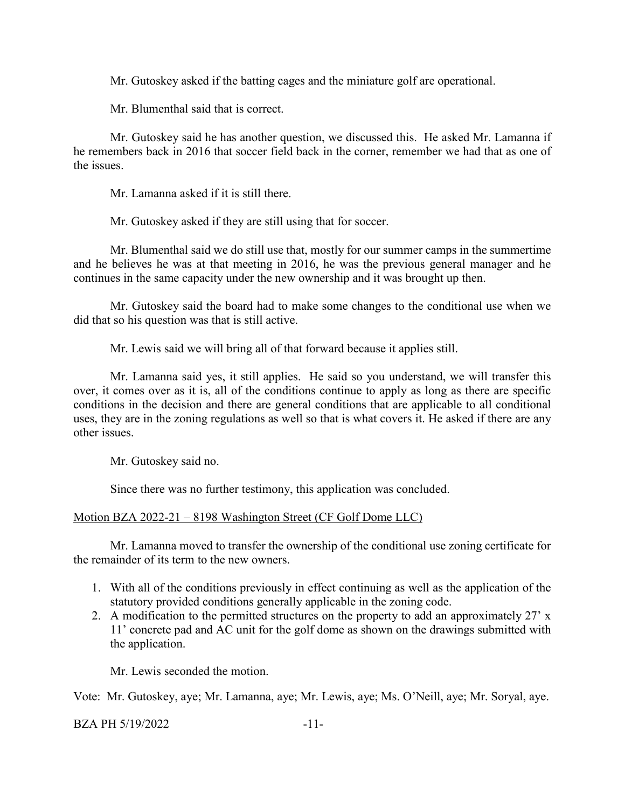Mr. Gutoskey asked if the batting cages and the miniature golf are operational.

Mr. Blumenthal said that is correct.

Mr. Gutoskey said he has another question, we discussed this. He asked Mr. Lamanna if he remembers back in 2016 that soccer field back in the corner, remember we had that as one of the issues.

Mr. Lamanna asked if it is still there.

Mr. Gutoskey asked if they are still using that for soccer.

Mr. Blumenthal said we do still use that, mostly for our summer camps in the summertime and he believes he was at that meeting in 2016, he was the previous general manager and he continues in the same capacity under the new ownership and it was brought up then.

Mr. Gutoskey said the board had to make some changes to the conditional use when we did that so his question was that is still active.

Mr. Lewis said we will bring all of that forward because it applies still.

Mr. Lamanna said yes, it still applies. He said so you understand, we will transfer this over, it comes over as it is, all of the conditions continue to apply as long as there are specific conditions in the decision and there are general conditions that are applicable to all conditional uses, they are in the zoning regulations as well so that is what covers it. He asked if there are any other issues.

Mr. Gutoskey said no.

Since there was no further testimony, this application was concluded.

### Motion BZA 2022-21 – 8198 Washington Street (CF Golf Dome LLC)

Mr. Lamanna moved to transfer the ownership of the conditional use zoning certificate for the remainder of its term to the new owners.

- 1. With all of the conditions previously in effect continuing as well as the application of the statutory provided conditions generally applicable in the zoning code.
- 2. A modification to the permitted structures on the property to add an approximately 27' x 11' concrete pad and AC unit for the golf dome as shown on the drawings submitted with the application.

Mr. Lewis seconded the motion.

Vote: Mr. Gutoskey, aye; Mr. Lamanna, aye; Mr. Lewis, aye; Ms. O'Neill, aye; Mr. Soryal, aye.

BZA PH 5/19/2022 -11-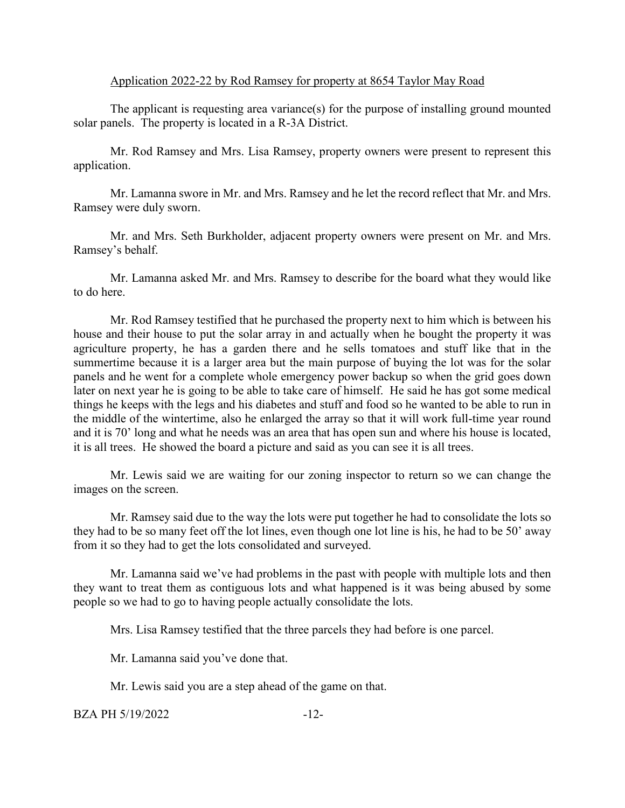#### Application 2022-22 by Rod Ramsey for property at 8654 Taylor May Road

The applicant is requesting area variance(s) for the purpose of installing ground mounted solar panels. The property is located in a R-3A District.

Mr. Rod Ramsey and Mrs. Lisa Ramsey, property owners were present to represent this application.

Mr. Lamanna swore in Mr. and Mrs. Ramsey and he let the record reflect that Mr. and Mrs. Ramsey were duly sworn.

Mr. and Mrs. Seth Burkholder, adjacent property owners were present on Mr. and Mrs. Ramsey's behalf.

Mr. Lamanna asked Mr. and Mrs. Ramsey to describe for the board what they would like to do here.

Mr. Rod Ramsey testified that he purchased the property next to him which is between his house and their house to put the solar array in and actually when he bought the property it was agriculture property, he has a garden there and he sells tomatoes and stuff like that in the summertime because it is a larger area but the main purpose of buying the lot was for the solar panels and he went for a complete whole emergency power backup so when the grid goes down later on next year he is going to be able to take care of himself. He said he has got some medical things he keeps with the legs and his diabetes and stuff and food so he wanted to be able to run in the middle of the wintertime, also he enlarged the array so that it will work full-time year round and it is 70' long and what he needs was an area that has open sun and where his house is located, it is all trees. He showed the board a picture and said as you can see it is all trees.

Mr. Lewis said we are waiting for our zoning inspector to return so we can change the images on the screen.

Mr. Ramsey said due to the way the lots were put together he had to consolidate the lots so they had to be so many feet off the lot lines, even though one lot line is his, he had to be 50' away from it so they had to get the lots consolidated and surveyed.

Mr. Lamanna said we've had problems in the past with people with multiple lots and then they want to treat them as contiguous lots and what happened is it was being abused by some people so we had to go to having people actually consolidate the lots.

Mrs. Lisa Ramsey testified that the three parcels they had before is one parcel.

Mr. Lamanna said you've done that.

Mr. Lewis said you are a step ahead of the game on that.

BZA PH 5/19/2022 -12-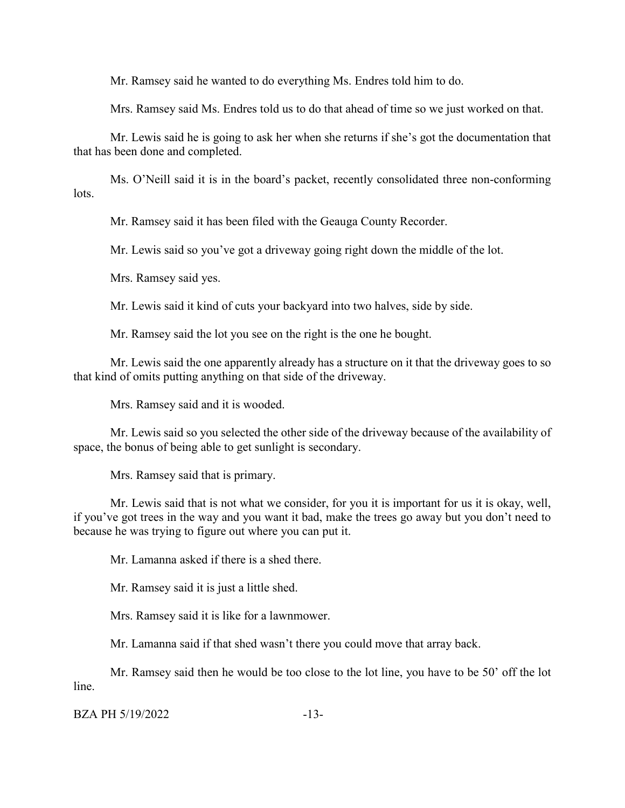Mr. Ramsey said he wanted to do everything Ms. Endres told him to do.

Mrs. Ramsey said Ms. Endres told us to do that ahead of time so we just worked on that.

Mr. Lewis said he is going to ask her when she returns if she's got the documentation that that has been done and completed.

Ms. O'Neill said it is in the board's packet, recently consolidated three non-conforming lots.

Mr. Ramsey said it has been filed with the Geauga County Recorder.

Mr. Lewis said so you've got a driveway going right down the middle of the lot.

Mrs. Ramsey said yes.

Mr. Lewis said it kind of cuts your backyard into two halves, side by side.

Mr. Ramsey said the lot you see on the right is the one he bought.

Mr. Lewis said the one apparently already has a structure on it that the driveway goes to so that kind of omits putting anything on that side of the driveway.

Mrs. Ramsey said and it is wooded.

Mr. Lewis said so you selected the other side of the driveway because of the availability of space, the bonus of being able to get sunlight is secondary.

Mrs. Ramsey said that is primary.

Mr. Lewis said that is not what we consider, for you it is important for us it is okay, well, if you've got trees in the way and you want it bad, make the trees go away but you don't need to because he was trying to figure out where you can put it.

Mr. Lamanna asked if there is a shed there.

Mr. Ramsey said it is just a little shed.

Mrs. Ramsey said it is like for a lawnmower.

Mr. Lamanna said if that shed wasn't there you could move that array back.

Mr. Ramsey said then he would be too close to the lot line, you have to be 50' off the lot line.

BZA PH 5/19/2022 -13-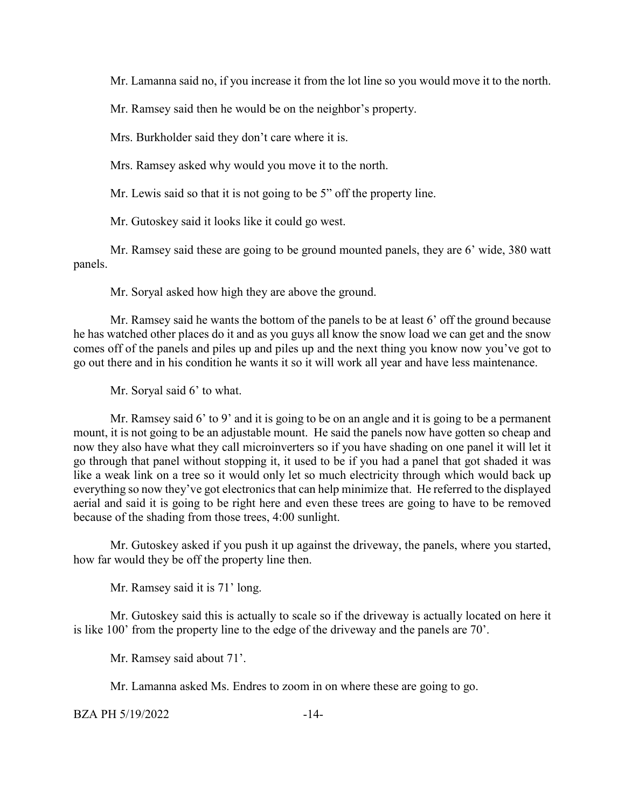Mr. Lamanna said no, if you increase it from the lot line so you would move it to the north.

Mr. Ramsey said then he would be on the neighbor's property.

Mrs. Burkholder said they don't care where it is.

Mrs. Ramsey asked why would you move it to the north.

Mr. Lewis said so that it is not going to be 5" off the property line.

Mr. Gutoskey said it looks like it could go west.

Mr. Ramsey said these are going to be ground mounted panels, they are 6' wide, 380 watt panels.

Mr. Soryal asked how high they are above the ground.

Mr. Ramsey said he wants the bottom of the panels to be at least 6' off the ground because he has watched other places do it and as you guys all know the snow load we can get and the snow comes off of the panels and piles up and piles up and the next thing you know now you've got to go out there and in his condition he wants it so it will work all year and have less maintenance.

Mr. Soryal said 6' to what.

Mr. Ramsey said 6' to 9' and it is going to be on an angle and it is going to be a permanent mount, it is not going to be an adjustable mount. He said the panels now have gotten so cheap and now they also have what they call microinverters so if you have shading on one panel it will let it go through that panel without stopping it, it used to be if you had a panel that got shaded it was like a weak link on a tree so it would only let so much electricity through which would back up everything so now they've got electronics that can help minimize that. He referred to the displayed aerial and said it is going to be right here and even these trees are going to have to be removed because of the shading from those trees, 4:00 sunlight.

Mr. Gutoskey asked if you push it up against the driveway, the panels, where you started, how far would they be off the property line then.

Mr. Ramsey said it is 71' long.

Mr. Gutoskey said this is actually to scale so if the driveway is actually located on here it is like 100' from the property line to the edge of the driveway and the panels are 70'.

Mr. Ramsey said about 71'.

Mr. Lamanna asked Ms. Endres to zoom in on where these are going to go.

BZA PH 5/19/2022 -14-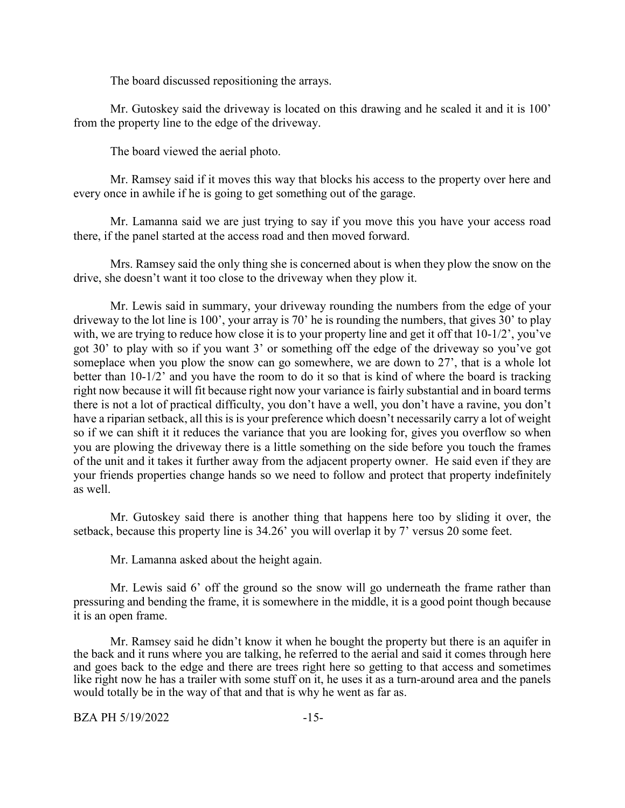The board discussed repositioning the arrays.

Mr. Gutoskey said the driveway is located on this drawing and he scaled it and it is 100' from the property line to the edge of the driveway.

The board viewed the aerial photo.

Mr. Ramsey said if it moves this way that blocks his access to the property over here and every once in awhile if he is going to get something out of the garage.

Mr. Lamanna said we are just trying to say if you move this you have your access road there, if the panel started at the access road and then moved forward.

Mrs. Ramsey said the only thing she is concerned about is when they plow the snow on the drive, she doesn't want it too close to the driveway when they plow it.

Mr. Lewis said in summary, your driveway rounding the numbers from the edge of your driveway to the lot line is 100', your array is 70' he is rounding the numbers, that gives 30' to play with, we are trying to reduce how close it is to your property line and get it off that 10-1/2', you've got 30' to play with so if you want 3' or something off the edge of the driveway so you've got someplace when you plow the snow can go somewhere, we are down to 27', that is a whole lot better than 10-1/2' and you have the room to do it so that is kind of where the board is tracking right now because it will fit because right now your variance is fairly substantial and in board terms there is not a lot of practical difficulty, you don't have a well, you don't have a ravine, you don't have a riparian setback, all this is is your preference which doesn't necessarily carry a lot of weight so if we can shift it it reduces the variance that you are looking for, gives you overflow so when you are plowing the driveway there is a little something on the side before you touch the frames of the unit and it takes it further away from the adjacent property owner. He said even if they are your friends properties change hands so we need to follow and protect that property indefinitely as well.

Mr. Gutoskey said there is another thing that happens here too by sliding it over, the setback, because this property line is 34.26' you will overlap it by 7' versus 20 some feet.

Mr. Lamanna asked about the height again.

Mr. Lewis said 6' off the ground so the snow will go underneath the frame rather than pressuring and bending the frame, it is somewhere in the middle, it is a good point though because it is an open frame.

Mr. Ramsey said he didn't know it when he bought the property but there is an aquifer in the back and it runs where you are talking, he referred to the aerial and said it comes through here and goes back to the edge and there are trees right here so getting to that access and sometimes like right now he has a trailer with some stuff on it, he uses it as a turn-around area and the panels would totally be in the way of that and that is why he went as far as.

BZA PH 5/19/2022 -15-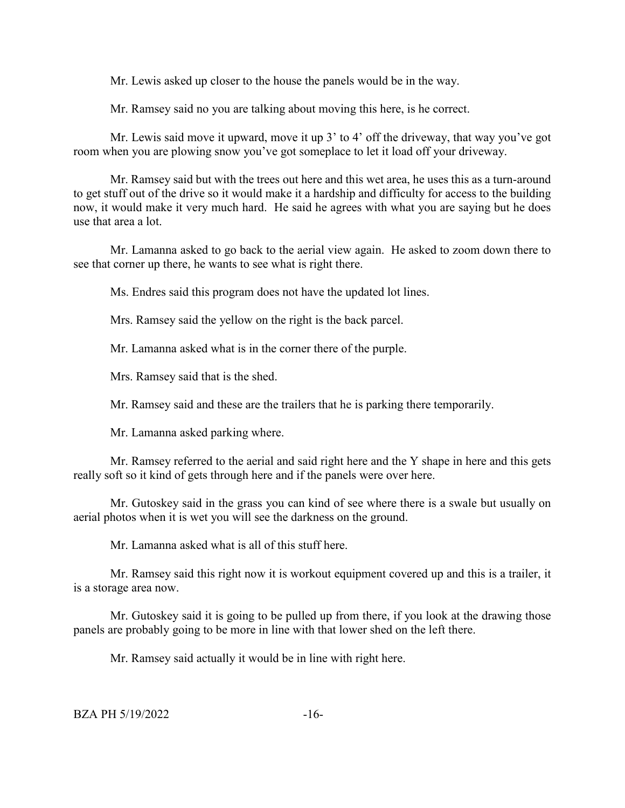Mr. Lewis asked up closer to the house the panels would be in the way.

Mr. Ramsey said no you are talking about moving this here, is he correct.

Mr. Lewis said move it upward, move it up 3' to 4' off the driveway, that way you've got room when you are plowing snow you've got someplace to let it load off your driveway.

Mr. Ramsey said but with the trees out here and this wet area, he uses this as a turn-around to get stuff out of the drive so it would make it a hardship and difficulty for access to the building now, it would make it very much hard. He said he agrees with what you are saying but he does use that area a lot.

Mr. Lamanna asked to go back to the aerial view again. He asked to zoom down there to see that corner up there, he wants to see what is right there.

Ms. Endres said this program does not have the updated lot lines.

Mrs. Ramsey said the yellow on the right is the back parcel.

Mr. Lamanna asked what is in the corner there of the purple.

Mrs. Ramsey said that is the shed.

Mr. Ramsey said and these are the trailers that he is parking there temporarily.

Mr. Lamanna asked parking where.

Mr. Ramsey referred to the aerial and said right here and the Y shape in here and this gets really soft so it kind of gets through here and if the panels were over here.

Mr. Gutoskey said in the grass you can kind of see where there is a swale but usually on aerial photos when it is wet you will see the darkness on the ground.

Mr. Lamanna asked what is all of this stuff here.

Mr. Ramsey said this right now it is workout equipment covered up and this is a trailer, it is a storage area now.

Mr. Gutoskey said it is going to be pulled up from there, if you look at the drawing those panels are probably going to be more in line with that lower shed on the left there.

Mr. Ramsey said actually it would be in line with right here.

BZA PH 5/19/2022 -16-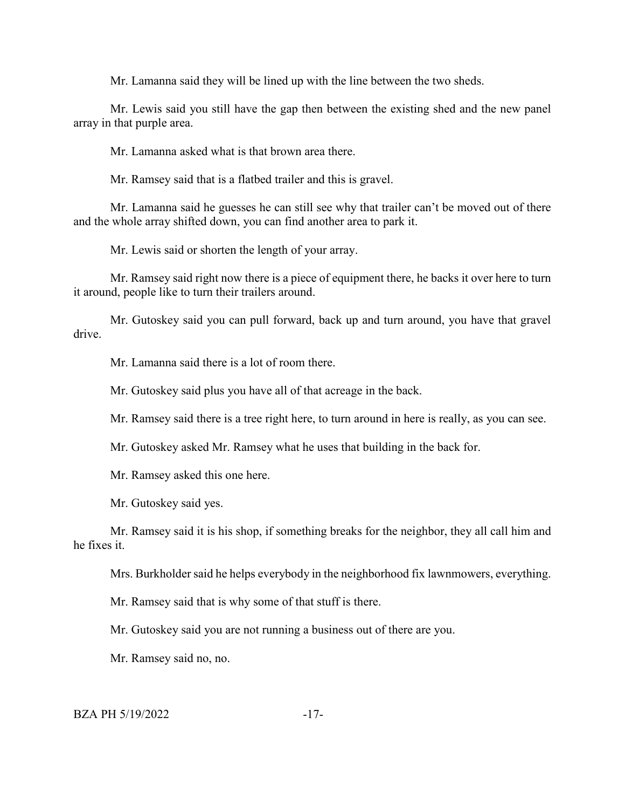Mr. Lamanna said they will be lined up with the line between the two sheds.

Mr. Lewis said you still have the gap then between the existing shed and the new panel array in that purple area.

Mr. Lamanna asked what is that brown area there.

Mr. Ramsey said that is a flatbed trailer and this is gravel.

Mr. Lamanna said he guesses he can still see why that trailer can't be moved out of there and the whole array shifted down, you can find another area to park it.

Mr. Lewis said or shorten the length of your array.

Mr. Ramsey said right now there is a piece of equipment there, he backs it over here to turn it around, people like to turn their trailers around.

Mr. Gutoskey said you can pull forward, back up and turn around, you have that gravel drive.

Mr. Lamanna said there is a lot of room there.

Mr. Gutoskey said plus you have all of that acreage in the back.

Mr. Ramsey said there is a tree right here, to turn around in here is really, as you can see.

Mr. Gutoskey asked Mr. Ramsey what he uses that building in the back for.

Mr. Ramsey asked this one here.

Mr. Gutoskey said yes.

Mr. Ramsey said it is his shop, if something breaks for the neighbor, they all call him and he fixes it.

Mrs. Burkholder said he helps everybody in the neighborhood fix lawnmowers, everything.

Mr. Ramsey said that is why some of that stuff is there.

Mr. Gutoskey said you are not running a business out of there are you.

Mr. Ramsey said no, no.

#### BZA PH 5/19/2022 -17-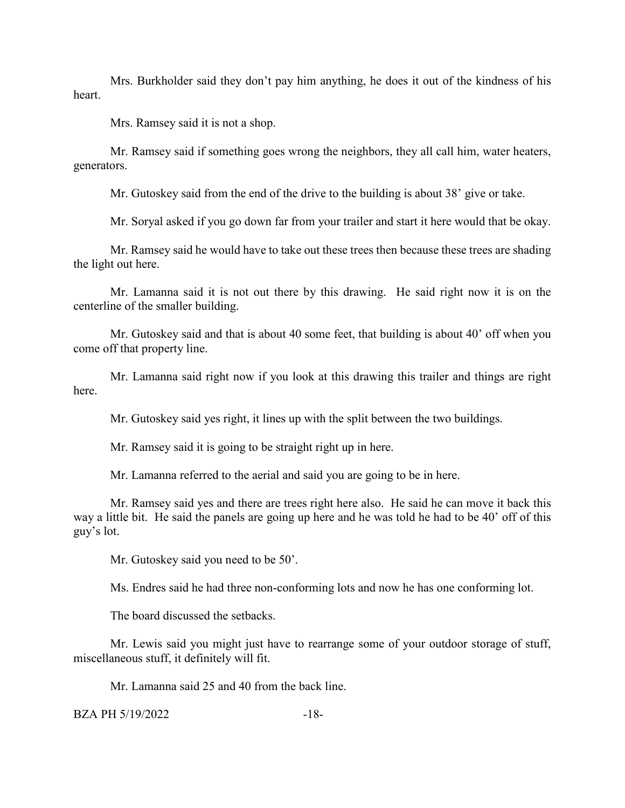Mrs. Burkholder said they don't pay him anything, he does it out of the kindness of his heart.

Mrs. Ramsey said it is not a shop.

Mr. Ramsey said if something goes wrong the neighbors, they all call him, water heaters, generators.

Mr. Gutoskey said from the end of the drive to the building is about 38' give or take.

Mr. Soryal asked if you go down far from your trailer and start it here would that be okay.

Mr. Ramsey said he would have to take out these trees then because these trees are shading the light out here.

Mr. Lamanna said it is not out there by this drawing. He said right now it is on the centerline of the smaller building.

Mr. Gutoskey said and that is about 40 some feet, that building is about 40' off when you come off that property line.

Mr. Lamanna said right now if you look at this drawing this trailer and things are right here.

Mr. Gutoskey said yes right, it lines up with the split between the two buildings.

Mr. Ramsey said it is going to be straight right up in here.

Mr. Lamanna referred to the aerial and said you are going to be in here.

Mr. Ramsey said yes and there are trees right here also. He said he can move it back this way a little bit. He said the panels are going up here and he was told he had to be 40' off of this guy's lot.

Mr. Gutoskey said you need to be 50'.

Ms. Endres said he had three non-conforming lots and now he has one conforming lot.

The board discussed the setbacks.

Mr. Lewis said you might just have to rearrange some of your outdoor storage of stuff, miscellaneous stuff, it definitely will fit.

Mr. Lamanna said 25 and 40 from the back line.

BZA PH 5/19/2022 -18-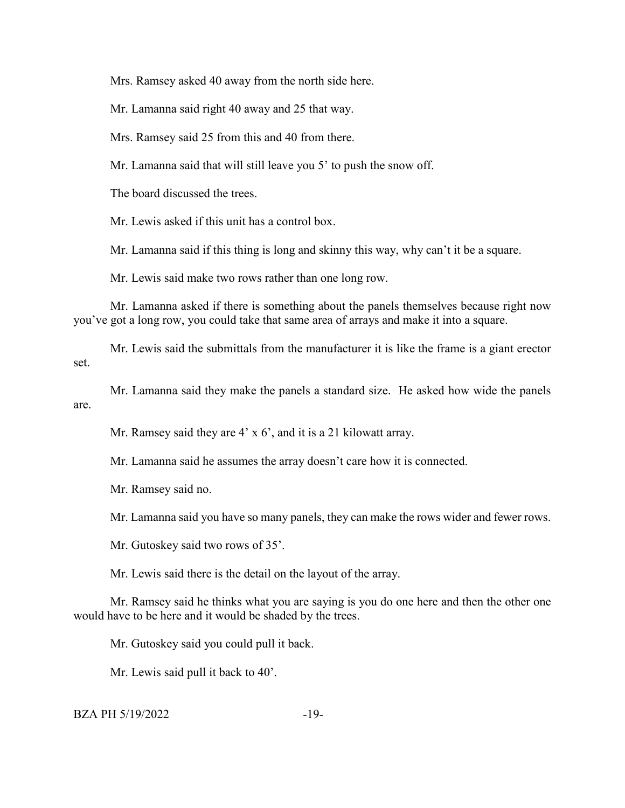Mrs. Ramsey asked 40 away from the north side here.

Mr. Lamanna said right 40 away and 25 that way.

Mrs. Ramsey said 25 from this and 40 from there.

Mr. Lamanna said that will still leave you 5' to push the snow off.

The board discussed the trees.

Mr. Lewis asked if this unit has a control box.

Mr. Lamanna said if this thing is long and skinny this way, why can't it be a square.

Mr. Lewis said make two rows rather than one long row.

Mr. Lamanna asked if there is something about the panels themselves because right now you've got a long row, you could take that same area of arrays and make it into a square.

Mr. Lewis said the submittals from the manufacturer it is like the frame is a giant erector set.

Mr. Lamanna said they make the panels a standard size. He asked how wide the panels are.

Mr. Ramsey said they are  $4' \times 6'$ , and it is a 21 kilowatt array.

Mr. Lamanna said he assumes the array doesn't care how it is connected.

Mr. Ramsey said no.

Mr. Lamanna said you have so many panels, they can make the rows wider and fewer rows.

Mr. Gutoskey said two rows of 35'.

Mr. Lewis said there is the detail on the layout of the array.

Mr. Ramsey said he thinks what you are saying is you do one here and then the other one would have to be here and it would be shaded by the trees.

Mr. Gutoskey said you could pull it back.

Mr. Lewis said pull it back to 40'.

BZA PH 5/19/2022 -19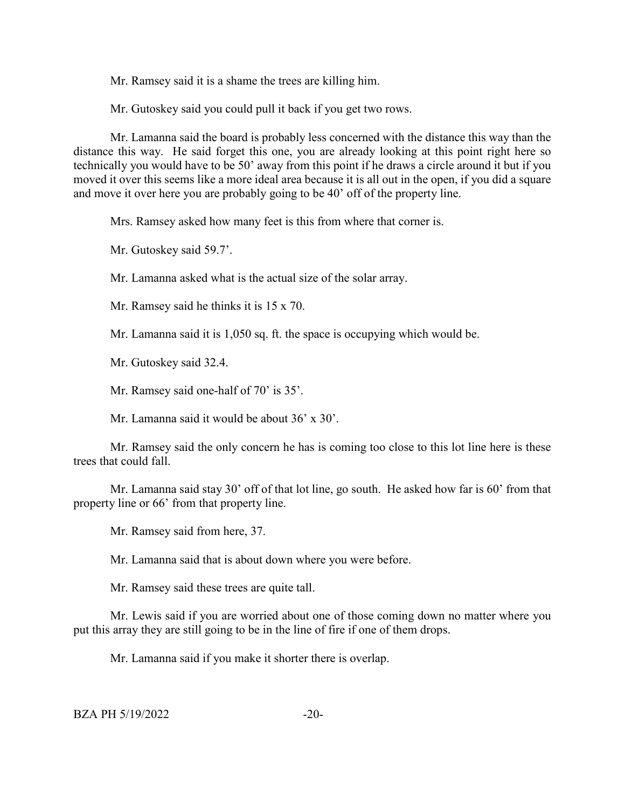Mr. Ramsey said it is a shame the trees are killing him.

Mr. Gutoskey said you could pull it back if you get two rows.

Mr. Lamanna said the board is probably less concerned with the distance this way than the distance this way. He said forget this one, you are already looking at this point right here so technically you would have to be 50' away from this point if he draws a circle around it but if you moved it over this seems like a more ideal area because it is all out in the open, if you did a square and move it over here you are probably going to be 40' off of the property line.

Mrs. Ramsey asked how many feet is this from where that corner is.

Mr. Gutoskey said 59.7'.

Mr. Lamanna asked what is the actual size of the solar array.

Mr. Ramsey said he thinks it is 15 x 70.

Mr. Lamanna said it is 1,050 sq. ft. the space is occupying which would be.

Mr. Gutoskey said 32.4.

Mr. Ramsey said one-half of 70' is 35'.

Mr. Lamanna said it would be about 36' x 30'.

Mr. Ramsey said the only concern he has is coming too close to this lot line here is these trees that could fall.

Mr. Lamanna said stay 30' off of that lot line, go south. He asked how far is 60' from that property line or 66' from that property line.

Mr. Ramsey said from here, 37.

Mr. Lamanna said that is about down where you were before.

Mr. Ramsey said these trees are quite tall.

Mr. Lewis said if you are worried about one of those coming down no matter where you put this array they are still going to be in the line of fire if one of them drops.

Mr. Lamanna said if you make it shorter there is overlap.

BZA PH 5/19/2022 -20-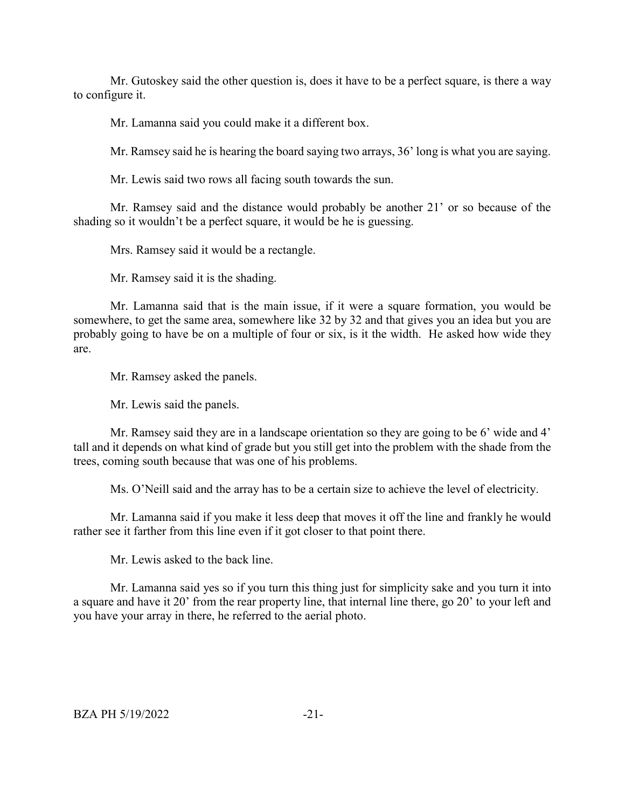Mr. Gutoskey said the other question is, does it have to be a perfect square, is there a way to configure it.

Mr. Lamanna said you could make it a different box.

Mr. Ramsey said he is hearing the board saying two arrays, 36' long is what you are saying.

Mr. Lewis said two rows all facing south towards the sun.

Mr. Ramsey said and the distance would probably be another 21' or so because of the shading so it wouldn't be a perfect square, it would be he is guessing.

Mrs. Ramsey said it would be a rectangle.

Mr. Ramsey said it is the shading.

Mr. Lamanna said that is the main issue, if it were a square formation, you would be somewhere, to get the same area, somewhere like 32 by 32 and that gives you an idea but you are probably going to have be on a multiple of four or six, is it the width. He asked how wide they are.

Mr. Ramsey asked the panels.

Mr. Lewis said the panels.

Mr. Ramsey said they are in a landscape orientation so they are going to be 6' wide and 4' tall and it depends on what kind of grade but you still get into the problem with the shade from the trees, coming south because that was one of his problems.

Ms. O'Neill said and the array has to be a certain size to achieve the level of electricity.

Mr. Lamanna said if you make it less deep that moves it off the line and frankly he would rather see it farther from this line even if it got closer to that point there.

Mr. Lewis asked to the back line.

Mr. Lamanna said yes so if you turn this thing just for simplicity sake and you turn it into a square and have it 20' from the rear property line, that internal line there, go 20' to your left and you have your array in there, he referred to the aerial photo.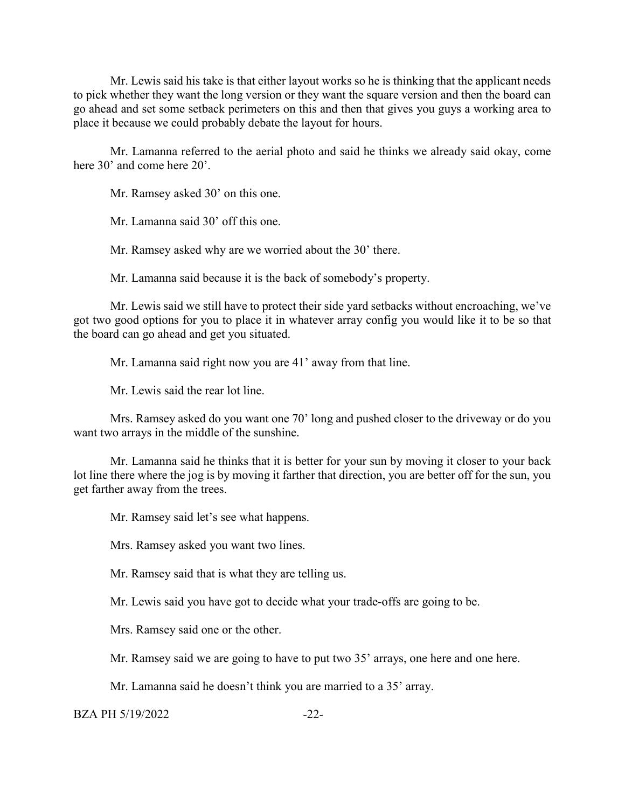Mr. Lewis said his take is that either layout works so he is thinking that the applicant needs to pick whether they want the long version or they want the square version and then the board can go ahead and set some setback perimeters on this and then that gives you guys a working area to place it because we could probably debate the layout for hours.

Mr. Lamanna referred to the aerial photo and said he thinks we already said okay, come here 30' and come here 20'.

Mr. Ramsey asked 30' on this one.

Mr. Lamanna said 30' off this one.

Mr. Ramsey asked why are we worried about the 30' there.

Mr. Lamanna said because it is the back of somebody's property.

Mr. Lewis said we still have to protect their side yard setbacks without encroaching, we've got two good options for you to place it in whatever array config you would like it to be so that the board can go ahead and get you situated.

Mr. Lamanna said right now you are 41' away from that line.

Mr. Lewis said the rear lot line.

Mrs. Ramsey asked do you want one 70' long and pushed closer to the driveway or do you want two arrays in the middle of the sunshine.

Mr. Lamanna said he thinks that it is better for your sun by moving it closer to your back lot line there where the jog is by moving it farther that direction, you are better off for the sun, you get farther away from the trees.

Mr. Ramsey said let's see what happens.

Mrs. Ramsey asked you want two lines.

Mr. Ramsey said that is what they are telling us.

Mr. Lewis said you have got to decide what your trade-offs are going to be.

Mrs. Ramsey said one or the other.

Mr. Ramsey said we are going to have to put two 35' arrays, one here and one here.

Mr. Lamanna said he doesn't think you are married to a 35' array.

 $BZA PH 5/19/2022$   $-22$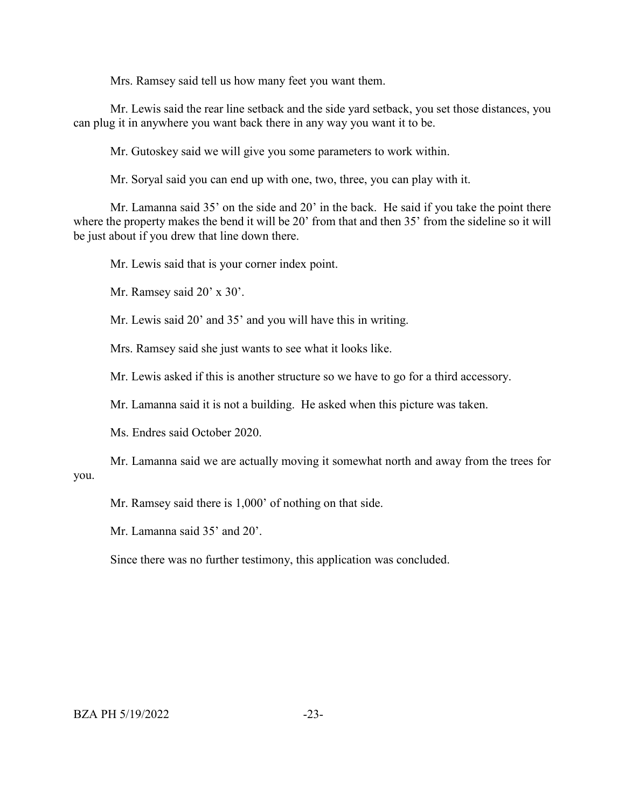Mrs. Ramsey said tell us how many feet you want them.

Mr. Lewis said the rear line setback and the side yard setback, you set those distances, you can plug it in anywhere you want back there in any way you want it to be.

Mr. Gutoskey said we will give you some parameters to work within.

Mr. Soryal said you can end up with one, two, three, you can play with it.

Mr. Lamanna said 35' on the side and 20' in the back. He said if you take the point there where the property makes the bend it will be 20' from that and then 35' from the sideline so it will be just about if you drew that line down there.

Mr. Lewis said that is your corner index point.

Mr. Ramsey said 20' x 30'.

Mr. Lewis said 20' and 35' and you will have this in writing.

Mrs. Ramsey said she just wants to see what it looks like.

Mr. Lewis asked if this is another structure so we have to go for a third accessory.

Mr. Lamanna said it is not a building. He asked when this picture was taken.

Ms. Endres said October 2020.

Mr. Lamanna said we are actually moving it somewhat north and away from the trees for you.

Mr. Ramsey said there is 1,000' of nothing on that side.

Mr. Lamanna said 35' and 20'.

Since there was no further testimony, this application was concluded.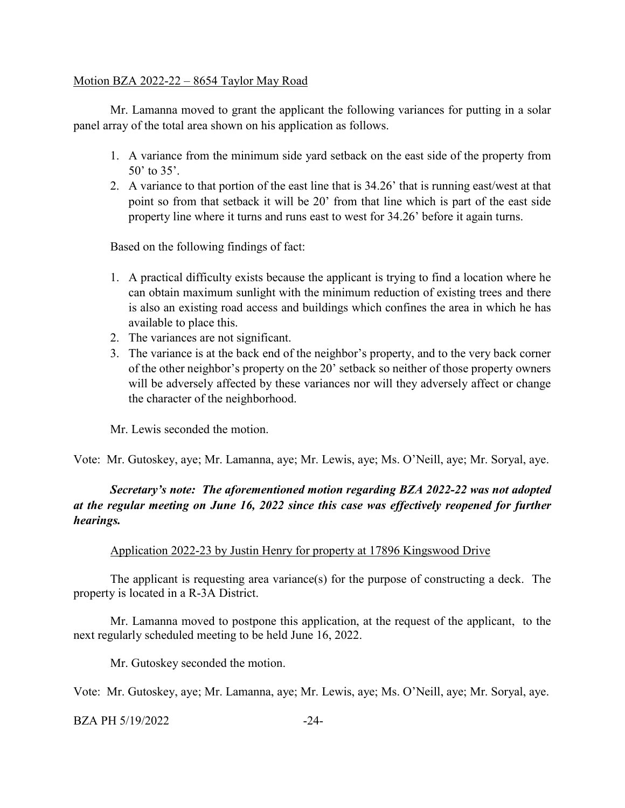### Motion BZA 2022-22 – 8654 Taylor May Road

Mr. Lamanna moved to grant the applicant the following variances for putting in a solar panel array of the total area shown on his application as follows.

- 1. A variance from the minimum side yard setback on the east side of the property from  $50'$  to  $35'$ .
- 2. A variance to that portion of the east line that is 34.26' that is running east/west at that point so from that setback it will be 20' from that line which is part of the east side property line where it turns and runs east to west for 34.26' before it again turns.

Based on the following findings of fact:

- 1. A practical difficulty exists because the applicant is trying to find a location where he can obtain maximum sunlight with the minimum reduction of existing trees and there is also an existing road access and buildings which confines the area in which he has available to place this.
- 2. The variances are not significant.
- 3. The variance is at the back end of the neighbor's property, and to the very back corner of the other neighbor's property on the 20' setback so neither of those property owners will be adversely affected by these variances nor will they adversely affect or change the character of the neighborhood.

Mr. Lewis seconded the motion.

Vote: Mr. Gutoskey, aye; Mr. Lamanna, aye; Mr. Lewis, aye; Ms. O'Neill, aye; Mr. Soryal, aye.

# *Secretary's note: The aforementioned motion regarding BZA 2022-22 was not adopted at the regular meeting on June 16, 2022 since this case was effectively reopened for further hearings.*

# Application 2022-23 by Justin Henry for property at 17896 Kingswood Drive

The applicant is requesting area variance(s) for the purpose of constructing a deck. The property is located in a R-3A District.

Mr. Lamanna moved to postpone this application, at the request of the applicant, to the next regularly scheduled meeting to be held June 16, 2022.

Mr. Gutoskey seconded the motion.

Vote: Mr. Gutoskey, aye; Mr. Lamanna, aye; Mr. Lewis, aye; Ms. O'Neill, aye; Mr. Soryal, aye.

### BZA PH 5/19/2022 -24-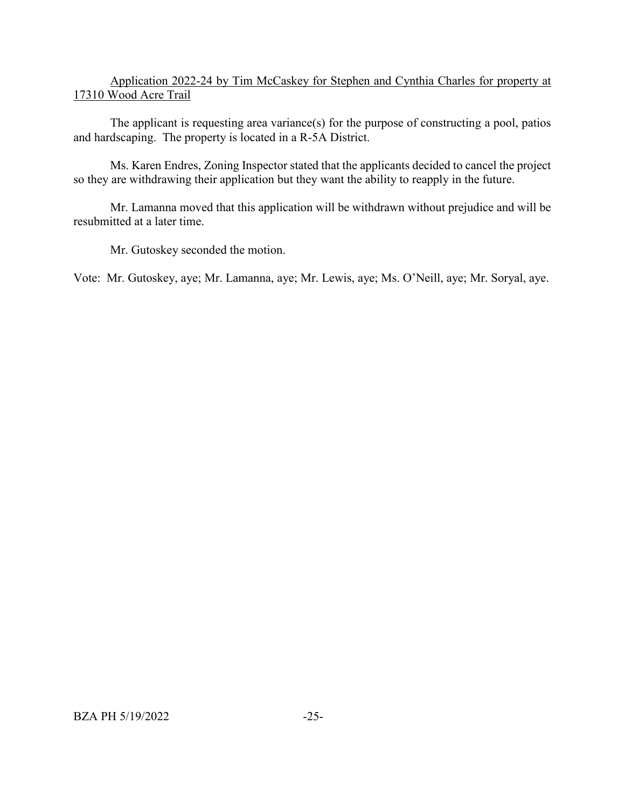## Application 2022-24 by Tim McCaskey for Stephen and Cynthia Charles for property at 17310 Wood Acre Trail

The applicant is requesting area variance(s) for the purpose of constructing a pool, patios and hardscaping. The property is located in a R-5A District.

Ms. Karen Endres, Zoning Inspector stated that the applicants decided to cancel the project so they are withdrawing their application but they want the ability to reapply in the future.

Mr. Lamanna moved that this application will be withdrawn without prejudice and will be resubmitted at a later time.

Mr. Gutoskey seconded the motion.

Vote: Mr. Gutoskey, aye; Mr. Lamanna, aye; Mr. Lewis, aye; Ms. O'Neill, aye; Mr. Soryal, aye.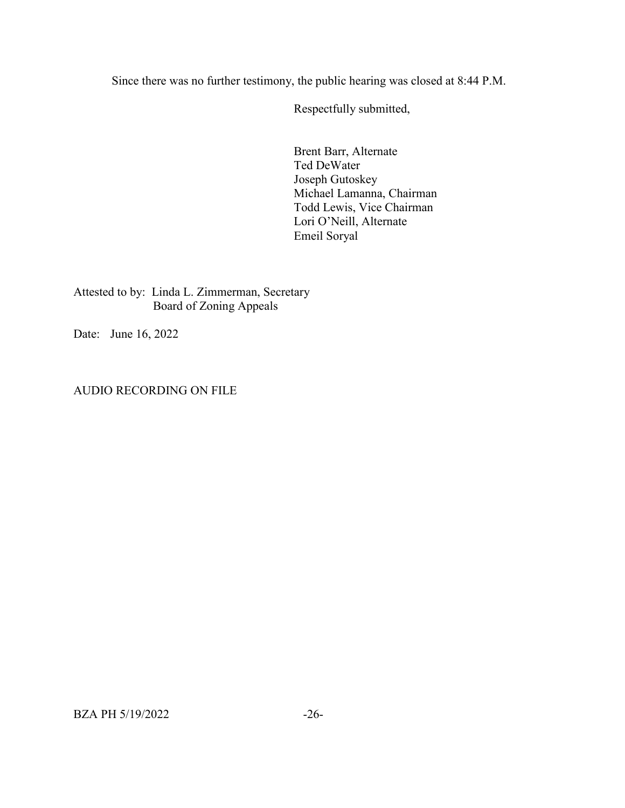Since there was no further testimony, the public hearing was closed at 8:44 P.M.

Respectfully submitted,

Brent Barr, Alternate Ted DeWater Joseph Gutoskey Michael Lamanna, Chairman Todd Lewis, Vice Chairman Lori O'Neill, Alternate Emeil Soryal

Attested to by: Linda L. Zimmerman, Secretary Board of Zoning Appeals

Date: June 16, 2022

AUDIO RECORDING ON FILE

BZA PH 5/19/2022 -26-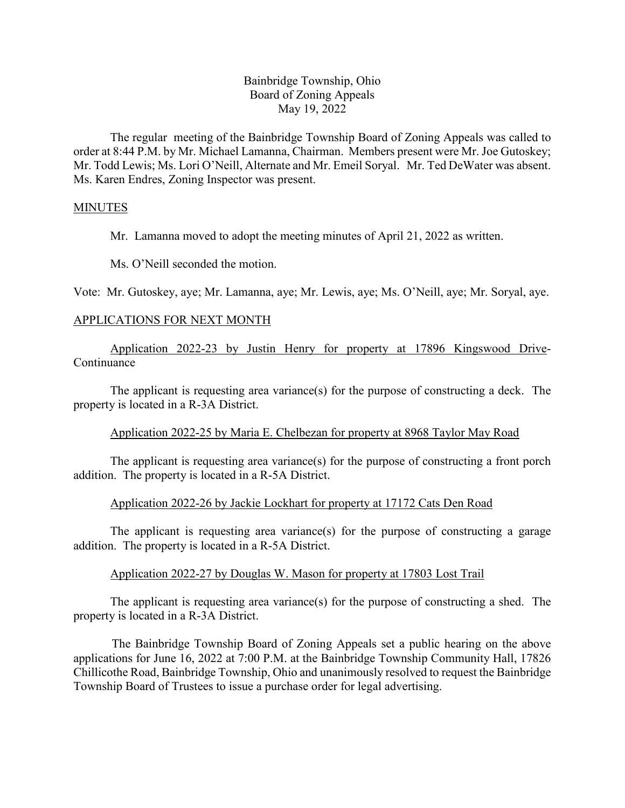Bainbridge Township, Ohio Board of Zoning Appeals May 19, 2022

The regular meeting of the Bainbridge Township Board of Zoning Appeals was called to order at 8:44 P.M. by Mr. Michael Lamanna, Chairman. Members present were Mr. Joe Gutoskey; Mr. Todd Lewis; Ms. Lori O'Neill, Alternate and Mr. Emeil Soryal. Mr. Ted DeWater was absent. Ms. Karen Endres, Zoning Inspector was present.

### MINUTES

Mr. Lamanna moved to adopt the meeting minutes of April 21, 2022 as written.

Ms. O'Neill seconded the motion.

Vote: Mr. Gutoskey, aye; Mr. Lamanna, aye; Mr. Lewis, aye; Ms. O'Neill, aye; Mr. Soryal, aye.

### APPLICATIONS FOR NEXT MONTH

Application 2022-23 by Justin Henry for property at 17896 Kingswood Drive-**Continuance** 

The applicant is requesting area variance(s) for the purpose of constructing a deck. The property is located in a R-3A District.

#### Application 2022-25 by Maria E. Chelbezan for property at 8968 Taylor May Road

The applicant is requesting area variance(s) for the purpose of constructing a front porch addition. The property is located in a R-5A District.

#### Application 2022-26 by Jackie Lockhart for property at 17172 Cats Den Road

The applicant is requesting area variance(s) for the purpose of constructing a garage addition. The property is located in a R-5A District.

#### Application 2022-27 by Douglas W. Mason for property at 17803 Lost Trail

The applicant is requesting area variance(s) for the purpose of constructing a shed. The property is located in a R-3A District.

The Bainbridge Township Board of Zoning Appeals set a public hearing on the above applications for June 16, 2022 at 7:00 P.M. at the Bainbridge Township Community Hall, 17826 Chillicothe Road, Bainbridge Township, Ohio and unanimously resolved to request the Bainbridge Township Board of Trustees to issue a purchase order for legal advertising.